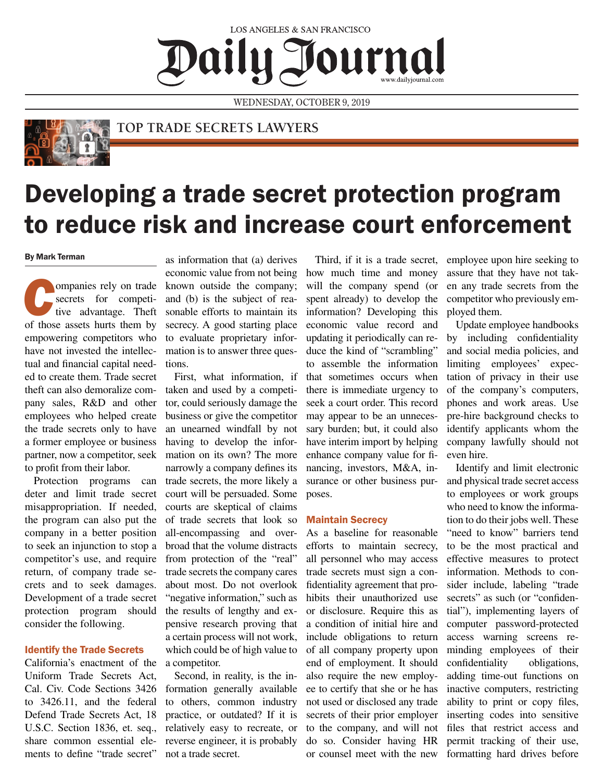## **LOS ANGELES & SAN FRANCISCO** Journal Daily J

WEDNESDAY, OCTOBER 9, 2019



### **TOP TRADE SECRETS LAWYERS**

# Developing a trade secret protection program to reduce risk and increase court enforcement

#### By Mark Terman

**Companies rely on trade secrets** for competitive advantage. Theft of those assets hurts them by secrets for competitive advantage. Theft empowering competitors who have not invested the intellectual and financial capital needed to create them. Trade secret theft can also demoralize company sales, R&D and other employees who helped create the trade secrets only to have a former employee or business partner, now a competitor, seek to profit from their labor.

Protection programs can deter and limit trade secret misappropriation. If needed, the program can also put the company in a better position to seek an injunction to stop a competitor's use, and require return, of company trade secrets and to seek damages. Development of a trade secret protection program should consider the following.

#### Identify the Trade Secrets

California's enactment of the Uniform Trade Secrets Act, Cal. Civ. Code Sections 3426 to 3426.11, and the federal Defend Trade Secrets Act, 18 U.S.C. Section 1836, et. seq., share common essential elements to define "trade secret"

as information that (a) derives economic value from not being known outside the company; and (b) is the subject of reasonable efforts to maintain its secrecy. A good starting place to evaluate proprietary information is to answer three questions.

First, what information, if taken and used by a competitor, could seriously damage the business or give the competitor an unearned windfall by not having to develop the information on its own? The more narrowly a company defines its trade secrets, the more likely a court will be persuaded. Some courts are skeptical of claims of trade secrets that look so all-encompassing and overbroad that the volume distracts from protection of the "real" trade secrets the company cares about most. Do not overlook "negative information," such as the results of lengthy and expensive research proving that a certain process will not work, which could be of high value to a competitor.

Second, in reality, is the information generally available to others, common industry practice, or outdated? If it is relatively easy to recreate, or reverse engineer, it is probably not a trade secret.

Third, if it is a trade secret, how much time and money will the company spend (or spent already) to develop the information? Developing this economic value record and updating it periodically can reduce the kind of "scrambling" to assemble the information that sometimes occurs when there is immediate urgency to seek a court order. This record may appear to be an unnecessary burden; but, it could also have interim import by helping enhance company value for financing, investors, M&A, insurance or other business purposes.

#### Maintain Secrecy

As a baseline for reasonable efforts to maintain secrecy, all personnel who may access trade secrets must sign a confidentiality agreement that prohibits their unauthorized use or disclosure. Require this as a condition of initial hire and include obligations to return of all company property upon end of employment. It should also require the new employee to certify that she or he has not used or disclosed any trade secrets of their prior employer to the company, and will not do so. Consider having HR or counsel meet with the new employee upon hire seeking to assure that they have not taken any trade secrets from the competitor who previously employed them.

Update employee handbooks by including confidentiality and social media policies, and limiting employees' expectation of privacy in their use of the company's computers, phones and work areas. Use pre-hire background checks to identify applicants whom the company lawfully should not even hire.

Identify and limit electronic and physical trade secret access to employees or work groups who need to know the information to do their jobs well. These "need to know" barriers tend to be the most practical and effective measures to protect information. Methods to consider include, labeling "trade secrets" as such (or "confidential"), implementing layers of computer password-protected access warning screens reminding employees of their confidentiality obligations, adding time-out functions on inactive computers, restricting ability to print or copy files, inserting codes into sensitive files that restrict access and permit tracking of their use, formatting hard drives before